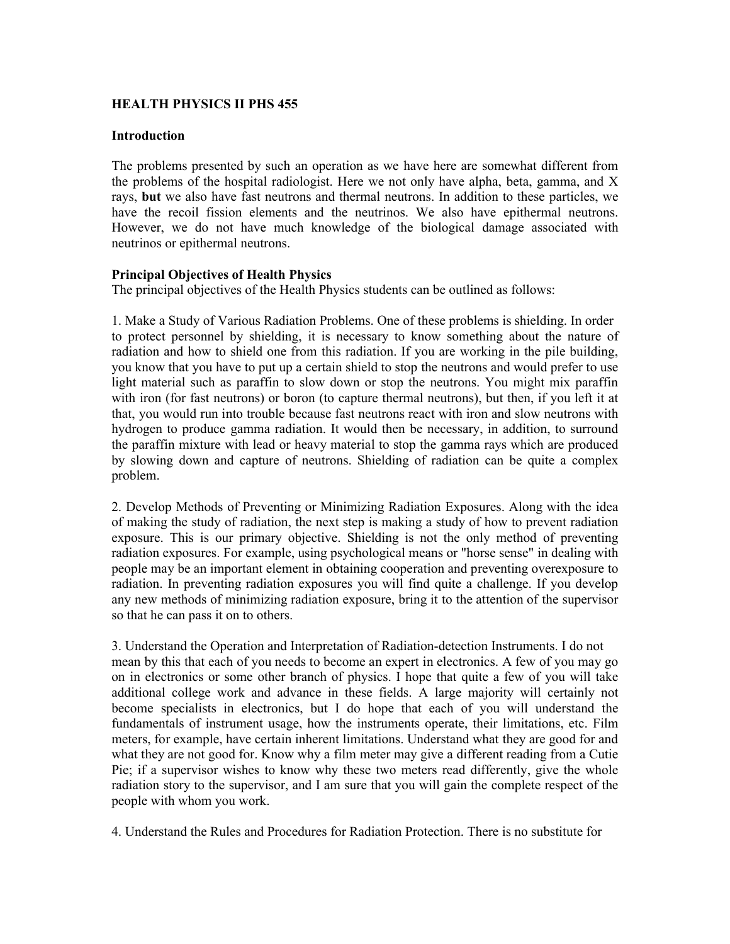# **HEALTH PHYSICS II PHS 455**

#### **Introduction**

The problems presented by such an operation as we have here are somewhat different from the problems of the hospital radiologist. Here we not only have alpha, beta, gamma, and X rays, **but** we also have fast neutrons and thermal neutrons. In addition to these particles, we have the recoil fission elements and the neutrinos. We also have epithermal neutrons. However, we do not have much knowledge of the biological damage associated with neutrinos or epithermal neutrons.

#### **Principal Objectives of Health Physics**

The principal objectives of the Health Physics students can be outlined as follows:

1. Make a Study of Various Radiation Problems. One of these problems is shielding. In order to protect personnel by shielding, it is necessary to know something about the nature of radiation and how to shield one from this radiation. If you are working in the pile building, you know that you have to put up a certain shield to stop the neutrons and would prefer to use light material such as paraffin to slow down or stop the neutrons. You might mix paraffin with iron (for fast neutrons) or boron (to capture thermal neutrons), but then, if you left it at that, you would run into trouble because fast neutrons react with iron and slow neutrons with hydrogen to produce gamma radiation. It would then be necessary, in addition, to surround the paraffin mixture with lead or heavy material to stop the gamma rays which are produced by slowing down and capture of neutrons. Shielding of radiation can be quite a complex problem.

2. Develop Methods of Preventing or Minimizing Radiation Exposures. Along with the idea of making the study of radiation, the next step is making a study of how to prevent radiation exposure. This is our primary objective. Shielding is not the only method of preventing radiation exposures. For example, using psychological means or "horse sense" in dealing with people may be an important element in obtaining cooperation and preventing overexposure to radiation. In preventing radiation exposures you will find quite a challenge. If you develop any new methods of minimizing radiation exposure, bring it to the attention of the supervisor so that he can pass it on to others.

3. Understand the Operation and Interpretation of Radiation-detection Instruments. I do not mean by this that each of you needs to become an expert in electronics. A few of you may go on in electronics or some other branch of physics. I hope that quite a few of you will take additional college work and advance in these fields. A large majority will certainly not become specialists in electronics, but I do hope that each of you will understand the fundamentals of instrument usage, how the instruments operate, their limitations, etc. Film meters, for example, have certain inherent limitations. Understand what they are good for and what they are not good for. Know why a film meter may give a different reading from a Cutie Pie; if a supervisor wishes to know why these two meters read differently, give the whole radiation story to the supervisor, and I am sure that you will gain the complete respect of the people with whom you work.

4. Understand the Rules and Procedures for Radiation Protection. There is no substitute for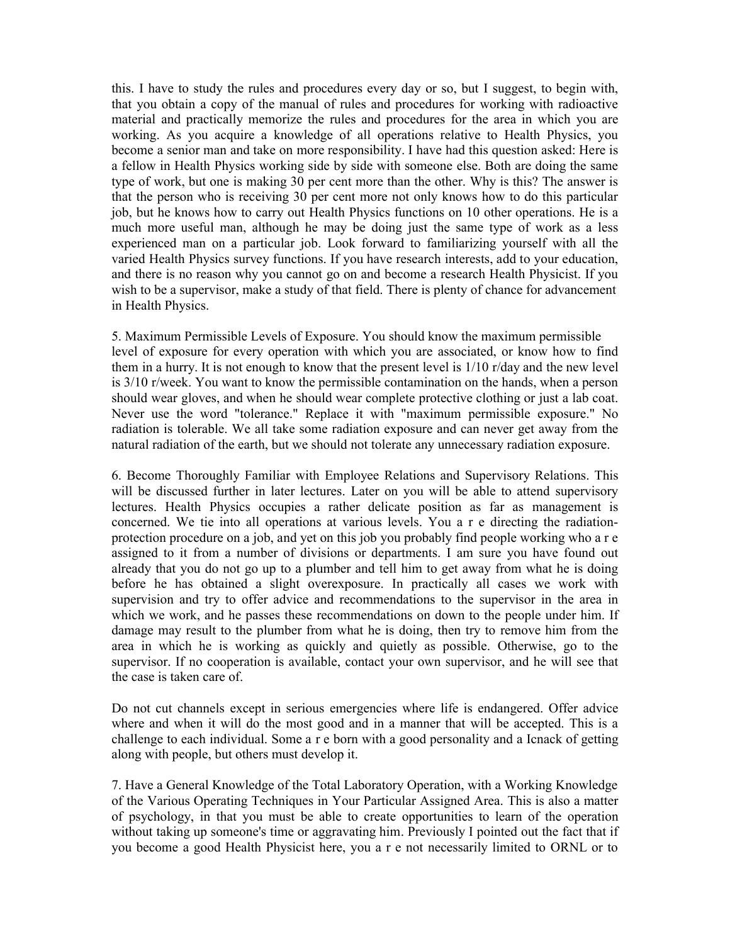this. I have to study the rules and procedures every day or so, but I suggest, to begin with, that you obtain a copy of the manual of rules and procedures for working with radioactive material and practically memorize the rules and procedures for the area in which you are working. As you acquire a knowledge of all operations relative to Health Physics, you become a senior man and take on more responsibility. I have had this question asked: Here is a fellow in Health Physics working side by side with someone else. Both are doing the same type of work, but one is making 30 per cent more than the other. Why is this? The answer is that the person who is receiving 30 per cent more not only knows how to do this particular job, but he knows how to carry out Health Physics functions on 10 other operations. He is a much more useful man, although he may be doing just the same type of work as a less experienced man on a particular job. Look forward to familiarizing yourself with all the varied Health Physics survey functions. If you have research interests, add to your education, and there is no reason why you cannot go on and become a research Health Physicist. If you wish to be a supervisor, make a study of that field. There is plenty of chance for advancement in Health Physics.

5. Maximum Permissible Levels of Exposure. You should know the maximum permissible level of exposure for every operation with which you are associated, or know how to find them in a hurry. It is not enough to know that the present level is 1/10 r/day and the new level is 3/10 r/week. You want to know the permissible contamination on the hands, when a person should wear gloves, and when he should wear complete protective clothing or just a lab coat. Never use the word "tolerance." Replace it with "maximum permissible exposure." No radiation is tolerable. We all take some radiation exposure and can never get away from the natural radiation of the earth, but we should not tolerate any unnecessary radiation exposure.

6. Become Thoroughly Familiar with Employee Relations and Supervisory Relations. This will be discussed further in later lectures. Later on you will be able to attend supervisory lectures. Health Physics occupies a rather delicate position as far as management is concerned. We tie into all operations at various levels. You a r e directing the radiationprotection procedure on a job, and yet on this job you probably find people working who a r e assigned to it from a number of divisions or departments. I am sure you have found out already that you do not go up to a plumber and tell him to get away from what he is doing before he has obtained a slight overexposure. In practically all cases we work with supervision and try to offer advice and recommendations to the supervisor in the area in which we work, and he passes these recommendations on down to the people under him. If damage may result to the plumber from what he is doing, then try to remove him from the area in which he is working as quickly and quietly as possible. Otherwise, go to the supervisor. If no cooperation is available, contact your own supervisor, and he will see that the case is taken care of.

Do not cut channels except in serious emergencies where life is endangered. Offer advice where and when it will do the most good and in a manner that will be accepted. This is a challenge to each individual. Some a r e born with a good personality and a Icnack of getting along with people, but others must develop it.

7. Have a General Knowledge of the Total Laboratory Operation, with a Working Knowledge of the Various Operating Techniques in Your Particular Assigned Area. This is also a matter of psychology, in that you must be able to create opportunities to learn of the operation without taking up someone's time or aggravating him. Previously I pointed out the fact that if you become a good Health Physicist here, you a r e not necessarily limited to ORNL or to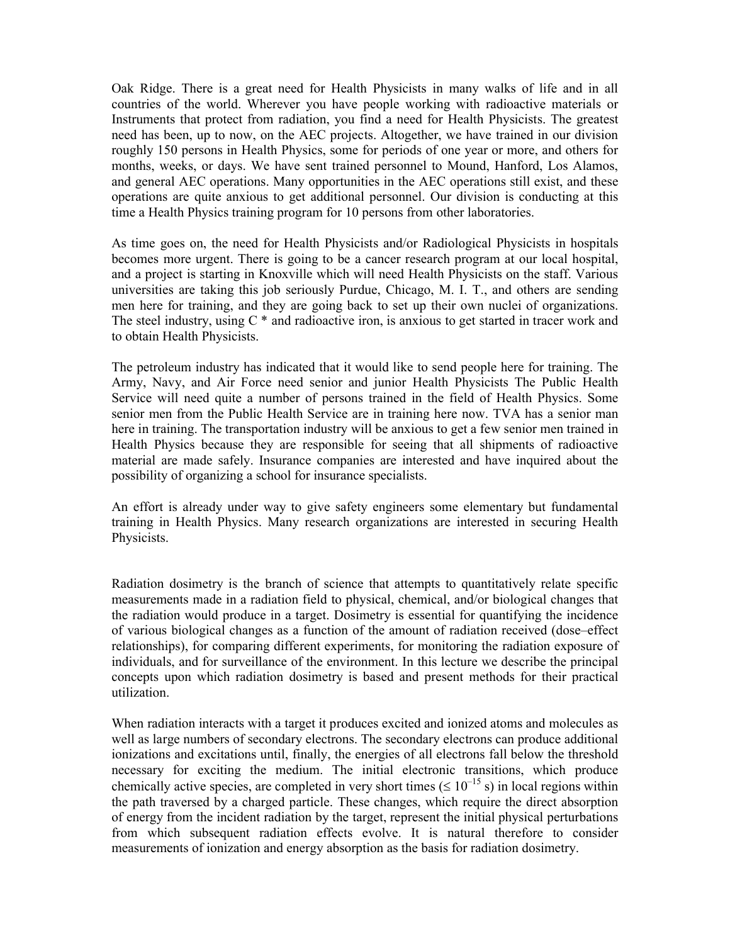Oak Ridge. There is a great need for Health Physicists in many walks of life and in all countries of the world. Wherever you have people working with radioactive materials or Instruments that protect from radiation, you find a need for Health Physicists. The greatest need has been, up to now, on the AEC projects. Altogether, we have trained in our division roughly 150 persons in Health Physics, some for periods of one year or more, and others for months, weeks, or days. We have sent trained personnel to Mound, Hanford, Los Alamos, and general AEC operations. Many opportunities in the AEC operations still exist, and these operations are quite anxious to get additional personnel. Our division is conducting at this time a Health Physics training program for 10 persons from other laboratories.

As time goes on, the need for Health Physicists and/or Radiological Physicists in hospitals becomes more urgent. There is going to be a cancer research program at our local hospital, and a project is starting in Knoxville which will need Health Physicists on the staff. Various universities are taking this job seriously Purdue, Chicago, M. I. T., and others are sending men here for training, and they are going back to set up their own nuclei of organizations. The steel industry, using  $C^*$  and radioactive iron, is anxious to get started in tracer work and to obtain Health Physicists.

The petroleum industry has indicated that it would like to send people here for training. The Army, Navy, and Air Force need senior and junior Health Physicists The Public Health Service will need quite a number of persons trained in the field of Health Physics. Some senior men from the Public Health Service are in training here now. TVA has a senior man here in training. The transportation industry will be anxious to get a few senior men trained in Health Physics because they are responsible for seeing that all shipments of radioactive material are made safely. Insurance companies are interested and have inquired about the possibility of organizing a school for insurance specialists.

An effort is already under way to give safety engineers some elementary but fundamental training in Health Physics. Many research organizations are interested in securing Health Physicists.

Radiation dosimetry is the branch of science that attempts to quantitatively relate specific measurements made in a radiation field to physical, chemical, and/or biological changes that the radiation would produce in a target. Dosimetry is essential for quantifying the incidence of various biological changes as a function of the amount of radiation received (dose–effect relationships), for comparing different experiments, for monitoring the radiation exposure of individuals, and for surveillance of the environment. In this lecture we describe the principal concepts upon which radiation dosimetry is based and present methods for their practical utilization.

When radiation interacts with a target it produces excited and ionized atoms and molecules as well as large numbers of secondary electrons. The secondary electrons can produce additional ionizations and excitations until, finally, the energies of all electrons fall below the threshold necessary for exciting the medium. The initial electronic transitions, which produce chemically active species, are completed in very short times ( $\leq 10^{-15}$  s) in local regions within the path traversed by a charged particle. These changes, which require the direct absorption of energy from the incident radiation by the target, represent the initial physical perturbations from which subsequent radiation effects evolve. It is natural therefore to consider measurements of ionization and energy absorption as the basis for radiation dosimetry.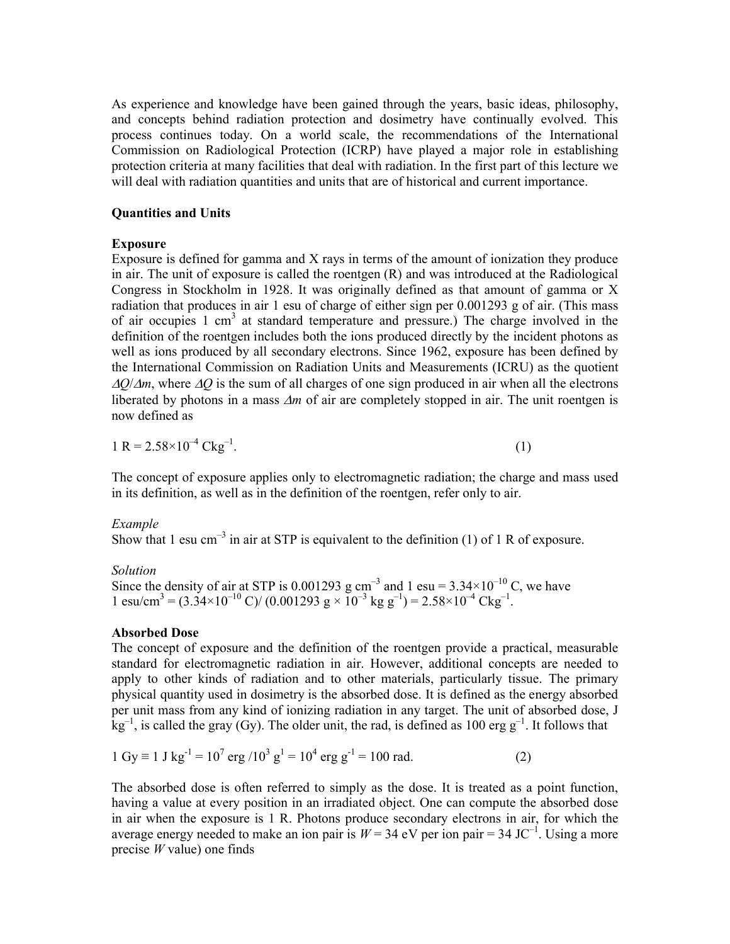As experience and knowledge have been gained through the years, basic ideas, philosophy, and concepts behind radiation protection and dosimetry have continually evolved. This process continues today. On a world scale, the recommendations of the International Commission on Radiological Protection (ICRP) have played a major role in establishing protection criteria at many facilities that deal with radiation. In the first part of this lecture we will deal with radiation quantities and units that are of historical and current importance.

# **Quantities and Units**

# **Exposure**

Exposure is defined for gamma and X rays in terms of the amount of ionization they produce in air. The unit of exposure is called the roentgen (R) and was introduced at the Radiological Congress in Stockholm in 1928. It was originally defined as that amount of gamma or X radiation that produces in air 1 esu of charge of either sign per 0.001293 g of air. (This mass of air occupies 1 cm<sup>3</sup> at standard temperature and pressure.) The charge involved in the definition of the roentgen includes both the ions produced directly by the incident photons as well as ions produced by all secondary electrons. Since 1962, exposure has been defined by the International Commission on Radiation Units and Measurements (ICRU) as the quotient  $\Delta Q/\Delta m$ , where  $\Delta Q$  is the sum of all charges of one sign produced in air when all the electrons liberated by photons in a mass  $\Delta m$  of air are completely stopped in air. The unit roentgen is now defined as

$$
1 R = 2.58 \times 10^{-4} Ckg^{-1}.
$$
 (1)

The concept of exposure applies only to electromagnetic radiation; the charge and mass used in its definition, as well as in the definition of the roentgen, refer only to air.

## *Example*

Show that 1 esu cm<sup>-3</sup> in air at STP is equivalent to the definition (1) of 1 R of exposure.

*Solution*

Since the density of air at STP is 0.001293 g cm<sup>-3</sup> and 1 esu =  $3.34 \times 10^{-10}$  C, we have 1 esu/cm<sup>3</sup> =  $(3.34 \times 10^{-10} \text{ C}) / (0.001293 \text{ g} \times 10^{-3} \text{ kg g}^{-1}) = 2.58 \times 10^{-4} \text{ Ckg}^{-1}$ .

# **Absorbed Dose**

The concept of exposure and the definition of the roentgen provide a practical, measurable standard for electromagnetic radiation in air. However, additional concepts are needed to apply to other kinds of radiation and to other materials, particularly tissue. The primary physical quantity used in dosimetry is the absorbed dose. It is defined as the energy absorbed per unit mass from any kind of ionizing radiation in any target. The unit of absorbed dose, J  $kg^{-1}$ , is called the gray (Gy). The older unit, the rad, is defined as 100 erg  $g^{-1}$ . It follows that

$$
1 \text{ Gy} \equiv 1 \text{ J kg}^{-1} = 10^{7} \text{ erg } / 10^{3} \text{ g}^{1} = 10^{4} \text{ erg } \text{g}^{-1} = 100 \text{ rad.}
$$
 (2)

The absorbed dose is often referred to simply as the dose. It is treated as a point function, having a value at every position in an irradiated object. One can compute the absorbed dose in air when the exposure is 1 R. Photons produce secondary electrons in air, for which the average energy needed to make an ion pair is  $W = 34$  eV per ion pair = 34 JC<sup>-1</sup>. Using a more precise *W* value) one finds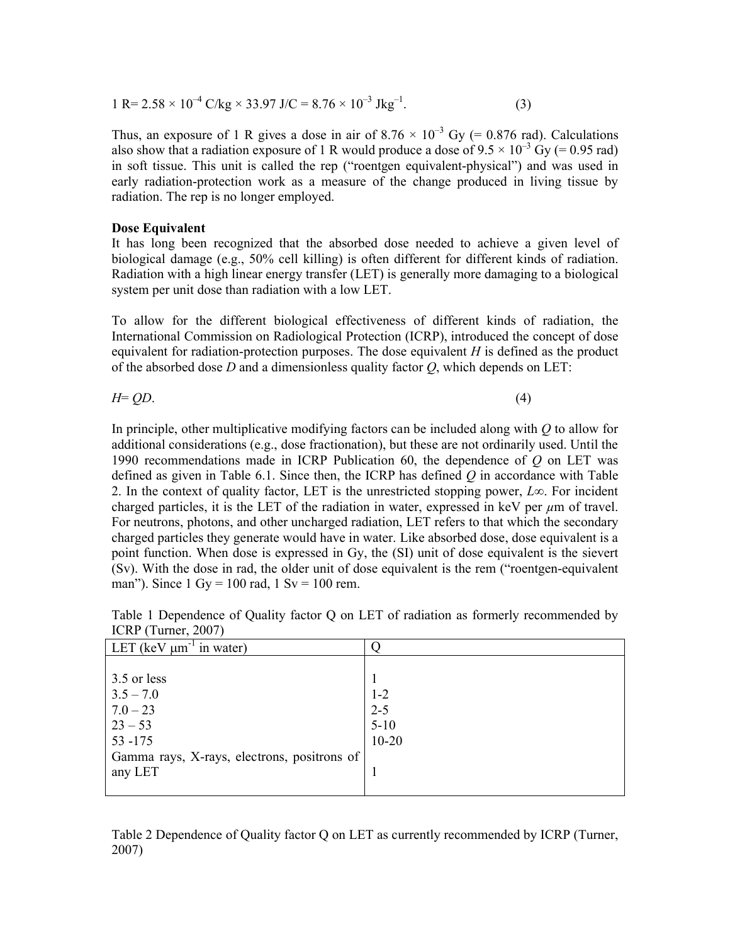$$
1 \text{ R} = 2.58 \times 10^{-4} \text{ C/kg} \times 33.97 \text{ J/C} = 8.76 \times 10^{-3} \text{ Jkg}^{-1}.
$$
 (3)

Thus, an exposure of 1 R gives a dose in air of  $8.76 \times 10^{-3}$  Gy (= 0.876 rad). Calculations also show that a radiation exposure of 1 R would produce a dose of  $9.5 \times 10^{-3}$  Gy (= 0.95 rad) in soft tissue. This unit is called the rep ("roentgen equivalent-physical") and was used in early radiation-protection work as a measure of the change produced in living tissue by radiation. The rep is no longer employed.

#### **Dose Equivalent**

It has long been recognized that the absorbed dose needed to achieve a given level of biological damage (e.g., 50% cell killing) is often different for different kinds of radiation. Radiation with a high linear energy transfer (LET) is generally more damaging to a biological system per unit dose than radiation with a low LET.

To allow for the different biological effectiveness of different kinds of radiation, the International Commission on Radiological Protection (ICRP), introduced the concept of dose equivalent for radiation-protection purposes. The dose equivalent *H* is defined as the product of the absorbed dose *D* and a dimensionless quality factor *Q*, which depends on LET:

$$
H = QD.\t\t(4)
$$

In principle, other multiplicative modifying factors can be included along with *Q* to allow for additional considerations (e.g., dose fractionation), but these are not ordinarily used. Until the 1990 recommendations made in ICRP Publication 60, the dependence of *Q* on LET was defined as given in Table 6.1. Since then, the ICRP has defined *Q* in accordance with Table 2. In the context of quality factor, LET is the unrestricted stopping power, *L*∞. For incident charged particles, it is the LET of the radiation in water, expressed in keV per  $\mu$ m of travel. For neutrons, photons, and other uncharged radiation, LET refers to that which the secondary charged particles they generate would have in water. Like absorbed dose, dose equivalent is a point function. When dose is expressed in Gy, the (SI) unit of dose equivalent is the sievert (Sv). With the dose in rad, the older unit of dose equivalent is the rem ("roentgen-equivalent man"). Since  $1 \text{ Gy} = 100 \text{ rad}, 1 \text{ Sv} = 100 \text{ rem}.$ 

| LET (keV $\mu$ m <sup>-1</sup> in water)    |           |
|---------------------------------------------|-----------|
|                                             |           |
| 3.5 or less                                 |           |
| $3.5 - 7.0$                                 | $1 - 2$   |
| $7.0 - 23$                                  | $2 - 5$   |
| $23 - 53$                                   | $5-10$    |
| 53 - 175                                    | $10 - 20$ |
| Gamma rays, X-rays, electrons, positrons of |           |
| any LET                                     |           |
|                                             |           |

Table 1 Dependence of Quality factor Q on LET of radiation as formerly recommended by ICRP (Turner, 2007)

Table 2 Dependence of Quality factor Q on LET as currently recommended by ICRP (Turner, 2007)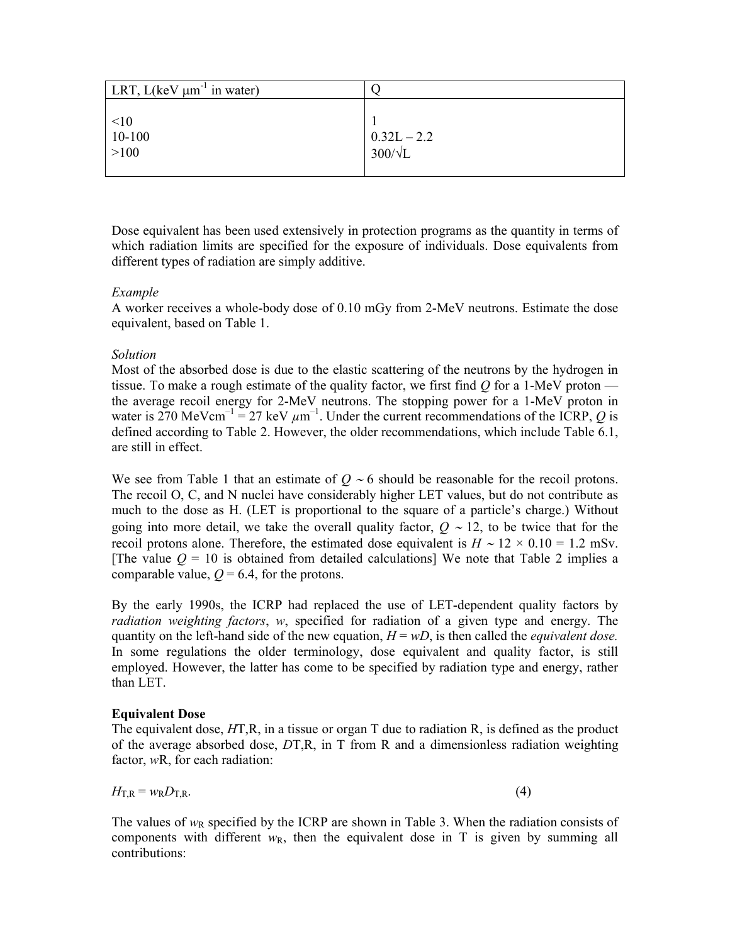| LRT, $L(keV \mu m^{-1})$ in water)                              |                                                                          |
|-----------------------------------------------------------------|--------------------------------------------------------------------------|
| $\begin{array}{ l} < & 10 \\ \hline 10-100 \end{array}$<br>>100 | $\begin{array}{} 0.32 \text{L} - 2.2 \\ 300/\sqrt{\text{L}} \end{array}$ |

Dose equivalent has been used extensively in protection programs as the quantity in terms of which radiation limits are specified for the exposure of individuals. Dose equivalents from different types of radiation are simply additive.

# *Example*

A worker receives a whole-body dose of 0.10 mGy from 2-MeV neutrons. Estimate the dose equivalent, based on Table 1.

## *Solution*

Most of the absorbed dose is due to the elastic scattering of the neutrons by the hydrogen in tissue. To make a rough estimate of the quality factor, we first find *Q* for a 1-MeV proton the average recoil energy for 2-MeV neutrons. The stopping power for a 1-MeV proton in water is 270 MeVcm<sup>-1</sup> = 27 keV  $\mu$ m<sup>-1</sup>. Under the current recommendations of the ICRP, Q is defined according to Table 2. However, the older recommendations, which include Table 6.1, are still in effect.

We see from Table 1 that an estimate of  $Q \sim 6$  should be reasonable for the recoil protons. The recoil O, C, and N nuclei have considerably higher LET values, but do not contribute as much to the dose as H. (LET is proportional to the square of a particle's charge.) Without going into more detail, we take the overall quality factor,  $Q \sim 12$ , to be twice that for the recoil protons alone. Therefore, the estimated dose equivalent is  $H \sim 12 \times 0.10 = 1.2$  mSv. [The value  $Q = 10$  is obtained from detailed calculations] We note that Table 2 implies a comparable value,  $Q = 6.4$ , for the protons.

By the early 1990s, the ICRP had replaced the use of LET-dependent quality factors by *radiation weighting factors*, *w*, specified for radiation of a given type and energy. The quantity on the left-hand side of the new equation,  $H = wD$ , is then called the *equivalent dose*. In some regulations the older terminology, dose equivalent and quality factor, is still employed. However, the latter has come to be specified by radiation type and energy, rather than LET.

## **Equivalent Dose**

The equivalent dose, *H*T,R, in a tissue or organ T due to radiation R, is defined as the product of the average absorbed dose, *D*T,R, in T from R and a dimensionless radiation weighting factor, *w*R, for each radiation:

$$
H_{\text{T,R}} = w_{\text{R}} D_{\text{T,R}}.\tag{4}
$$

The values of  $w_R$  specified by the ICRP are shown in Table 3. When the radiation consists of components with different  $w_R$ , then the equivalent dose in T is given by summing all contributions: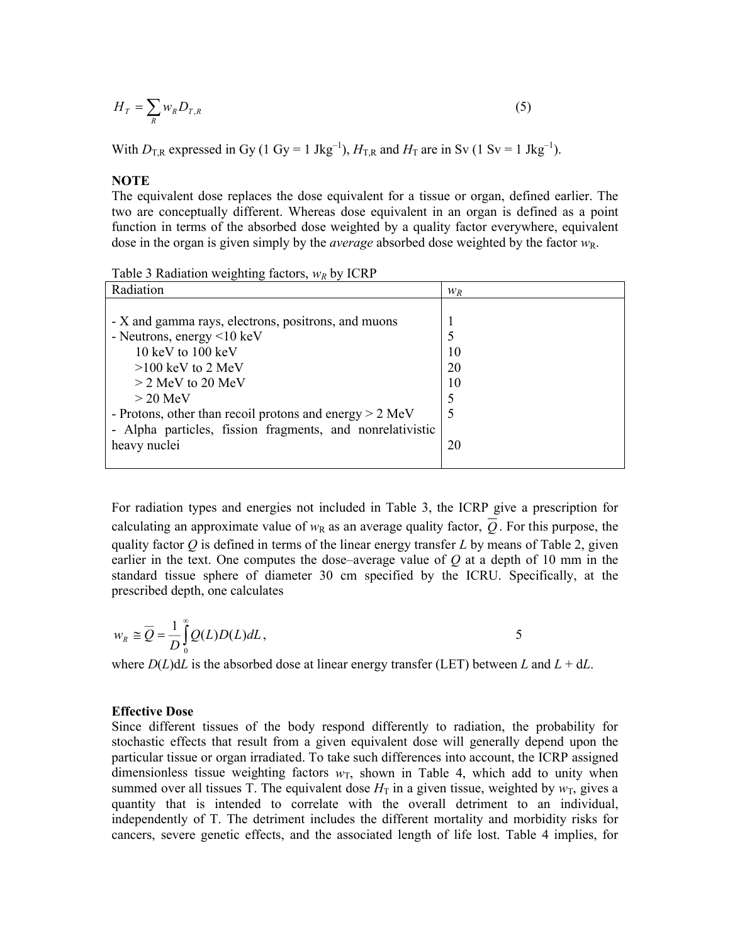$$
H_T = \sum_R w_R D_{T,R} \tag{5}
$$

With  $D_{\text{TR}}$  expressed in Gy (1 Gy = 1 Jkg<sup>-1</sup>),  $H_{\text{TR}}$  and  $H_{\text{T}}$  are in Sv (1 Sv = 1 Jkg<sup>-1</sup>).

**NOTE**

The equivalent dose replaces the dose equivalent for a tissue or organ, defined earlier. The two are conceptually different. Whereas dose equivalent in an organ is defined as a point function in terms of the absorbed dose weighted by a quality factor everywhere, equivalent dose in the organ is given simply by the *average* absorbed dose weighted by the factor *w*R.

Table 3 Radiation weighting factors,  $w_R$  by ICRP

| Radiation                                                 | $W_R$ |
|-----------------------------------------------------------|-------|
|                                                           |       |
| - X and gamma rays, electrons, positrons, and muons       |       |
| - Neutrons, energy $\leq 10 \text{ keV}$                  |       |
| 10 keV to $100 \text{ keV}$                               | 10    |
| $>100$ keV to 2 MeV                                       | 20    |
| $>$ 2 MeV to 20 MeV                                       | 10    |
| $>$ 20 MeV                                                |       |
| - Protons, other than recoil protons and energy $> 2$ MeV |       |
| - Alpha particles, fission fragments, and nonrelativistic |       |
| heavy nuclei                                              | 20    |
|                                                           |       |

For radiation types and energies not included in Table 3, the ICRP give a prescription for calculating an approximate value of  $w_R$  as an average quality factor,  $\overline{Q}$ . For this purpose, the quality factor  $\hat{O}$  is defined in terms of the linear energy transfer  $L$  by means of Table 2, given earlier in the text. One computes the dose–average value of *Q* at a depth of 10 mm in the standard tissue sphere of diameter 30 cm specified by the ICRU. Specifically, at the prescribed depth, one calculates

$$
w_R \cong \overline{Q} = \frac{1}{D} \int_0^\infty Q(L) D(L) dL,
$$

where  $D(L)dL$  is the absorbed dose at linear energy transfer (LET) between *L* and  $L + dL$ .

#### **Effective Dose**

Since different tissues of the body respond differently to radiation, the probability for stochastic effects that result from a given equivalent dose will generally depend upon the particular tissue or organ irradiated. To take such differences into account, the ICRP assigned dimensionless tissue weighting factors  $w_T$ , shown in Table 4, which add to unity when summed over all tissues T. The equivalent dose  $H_T$  in a given tissue, weighted by  $w_T$ , gives a quantity that is intended to correlate with the overall detriment to an individual, independently of T. The detriment includes the different mortality and morbidity risks for cancers, severe genetic effects, and the associated length of life lost. Table 4 implies, for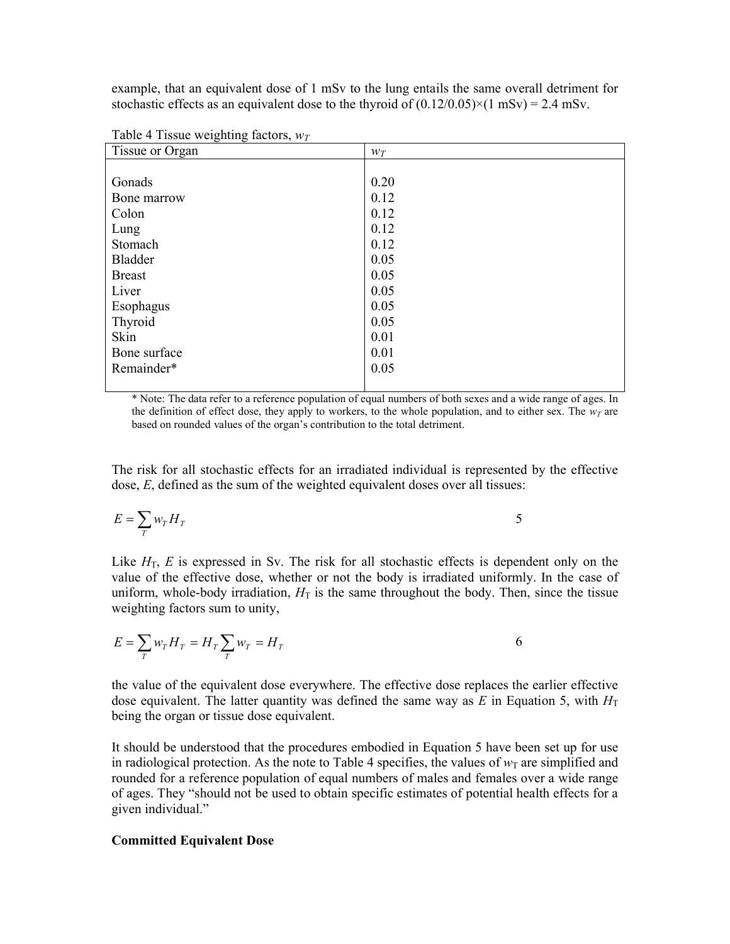example, that an equivalent dose of 1 mSv to the lung entails the same overall detriment for stochastic effects as an equivalent dose to the thyroid of  $(0.12/0.05) \times (1 \text{ mSv}) = 2.4 \text{ mSv}$ .

| Tissue or Organ | $W_T$ |
|-----------------|-------|
|                 |       |
| Gonads          | 0.20  |
| Bone marrow     | 0.12  |
| Colon           | 0.12  |
| Lung            | 0.12  |
| Stomach         | 0.12  |
| <b>Bladder</b>  | 0.05  |
| <b>Breast</b>   | 0.05  |
| Liver           | 0.05  |
| Esophagus       | 0.05  |
| Thyroid         | 0.05  |
| Skin            | 0.01  |
| Bone surface    | 0.01  |
| Remainder*      | 0.05  |
|                 |       |

Table 4 Tissue weighting factors,  $w_T$ 

\* Note: The data refer to a reference population of equal numbers of both sexes and a wide range of ages. In the definition of effect dose, they apply to workers, to the whole population, and to either sex. The  $w_T$  are based on rounded values of the organ's contribution to the total detriment.

The risk for all stochastic effects for an irradiated individual is represented by the effective dose, *E*, defined as the sum of the weighted equivalent doses over all tissues:

$$
E = \sum_{T} w_{T} H_{T} \tag{5}
$$

Like  $H<sub>T</sub>$ , E is expressed in Sv. The risk for all stochastic effects is dependent only on the value of the effective dose, whether or not the body is irradiated uniformly. In the case of uniform, whole-body irradiation,  $H_T$  is the same throughout the body. Then, since the tissue weighting factors sum to unity,

$$
E = \sum_{T} w_{T} H_{T} = H_{T} \sum_{T} w_{T} = H_{T}
$$

the value of the equivalent dose everywhere. The effective dose replaces the earlier effective dose equivalent. The latter quantity was defined the same way as  $E$  in Equation 5, with  $H<sub>T</sub>$ being the organ or tissue dose equivalent.

It should be understood that the procedures embodied in Equation 5 have been set up for use in radiological protection. As the note to Table 4 specifies, the values of  $w<sub>T</sub>$  are simplified and rounded for a reference population of equal numbers of males and females over a wide range of ages. They "should not be used to obtain specific estimates of potential health effects for a given individual."

#### **Committed Equivalent Dose**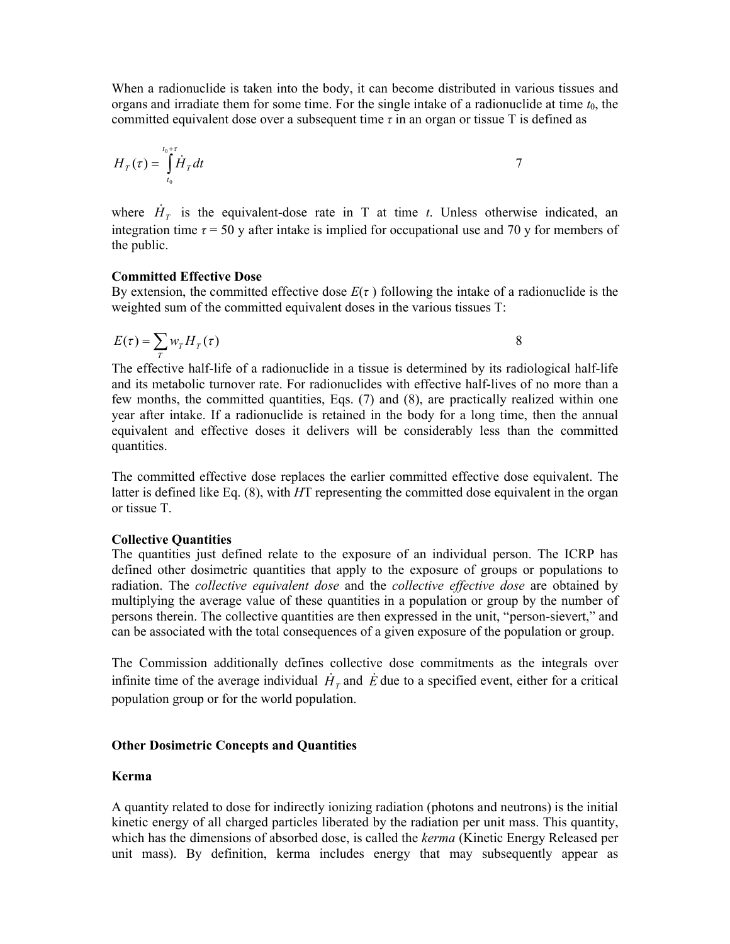When a radionuclide is taken into the body, it can become distributed in various tissues and organs and irradiate them for some time. For the single intake of a radionuclide at time  $t_0$ , the committed equivalent dose over a subsequent time *τ* in an organ or tissue T is defined as

$$
H_T(\tau) = \int_{t_0}^{t_0+\tau} \dot{H}_T dt
$$

where  $\dot{H}_T$  is the equivalent-dose rate in T at time *t*. Unless otherwise indicated, an integration time  $\tau = 50$  y after intake is implied for occupational use and 70 y for members of the public.

#### **Committed Effective Dose**

By extension, the committed effective dose  $E(\tau)$  following the intake of a radionuclide is the weighted sum of the committed equivalent doses in the various tissues T:

$$
E(\tau) = \sum_{T} w_{T} H_{T}(\tau)
$$

The effective half-life of a radionuclide in a tissue is determined by its radiological half-life and its metabolic turnover rate. For radionuclides with effective half-lives of no more than a few months, the committed quantities, Eqs. (7) and (8), are practically realized within one year after intake. If a radionuclide is retained in the body for a long time, then the annual equivalent and effective doses it delivers will be considerably less than the committed quantities.

The committed effective dose replaces the earlier committed effective dose equivalent. The latter is defined like Eq. (8), with *H*T representing the committed dose equivalent in the organ or tissue T.

## **Collective Quantities**

The quantities just defined relate to the exposure of an individual person. The ICRP has defined other dosimetric quantities that apply to the exposure of groups or populations to radiation. The *collective equivalent dose* and the *collective effective dose* are obtained by multiplying the average value of these quantities in a population or group by the number of persons therein. The collective quantities are then expressed in the unit, "person-sievert," and can be associated with the total consequences of a given exposure of the population or group.

The Commission additionally defines collective dose commitments as the integrals over infinite time of the average individual  $\dot{H}_T$  and  $\dot{E}$  due to a specified event, either for a critical population group or for the world population.

## **Other Dosimetric Concepts and Quantities**

## **Kerma**

A quantity related to dose for indirectly ionizing radiation (photons and neutrons) is the initial kinetic energy of all charged particles liberated by the radiation per unit mass. This quantity, which has the dimensions of absorbed dose, is called the *kerma* (Kinetic Energy Released per unit mass). By definition, kerma includes energy that may subsequently appear as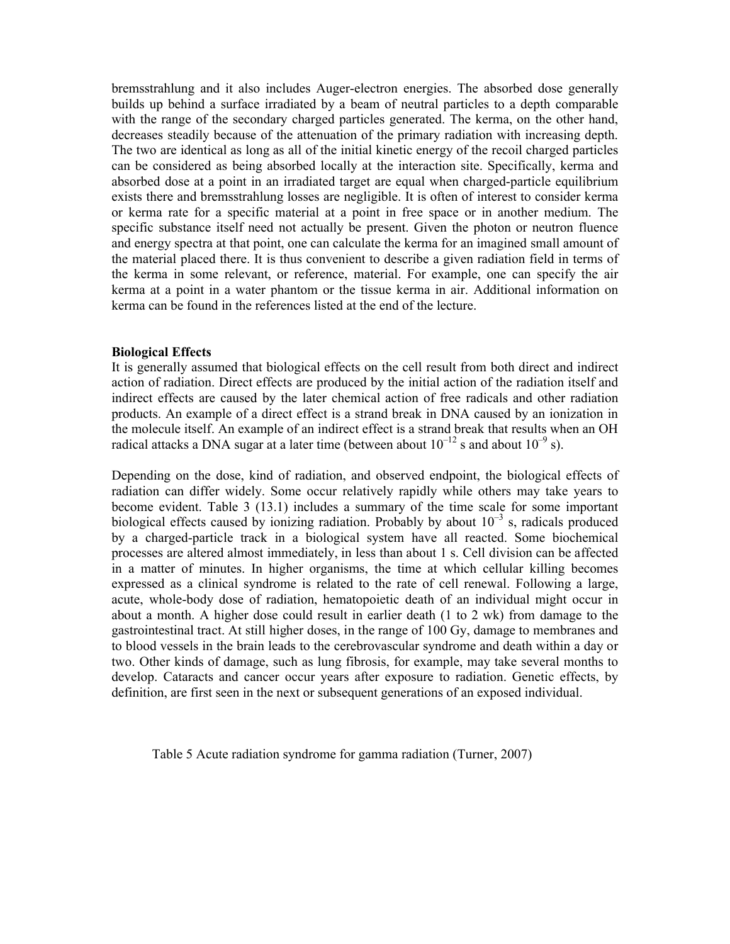bremsstrahlung and it also includes Auger-electron energies. The absorbed dose generally builds up behind a surface irradiated by a beam of neutral particles to a depth comparable with the range of the secondary charged particles generated. The kerma, on the other hand, decreases steadily because of the attenuation of the primary radiation with increasing depth. The two are identical as long as all of the initial kinetic energy of the recoil charged particles can be considered as being absorbed locally at the interaction site. Specifically, kerma and absorbed dose at a point in an irradiated target are equal when charged-particle equilibrium exists there and bremsstrahlung losses are negligible. It is often of interest to consider kerma or kerma rate for a specific material at a point in free space or in another medium. The specific substance itself need not actually be present. Given the photon or neutron fluence and energy spectra at that point, one can calculate the kerma for an imagined small amount of the material placed there. It is thus convenient to describe a given radiation field in terms of the kerma in some relevant, or reference, material. For example, one can specify the air kerma at a point in a water phantom or the tissue kerma in air. Additional information on kerma can be found in the references listed at the end of the lecture.

#### **Biological Effects**

It is generally assumed that biological effects on the cell result from both direct and indirect action of radiation. Direct effects are produced by the initial action of the radiation itself and indirect effects are caused by the later chemical action of free radicals and other radiation products. An example of a direct effect is a strand break in DNA caused by an ionization in the molecule itself. An example of an indirect effect is a strand break that results when an OH radical attacks a DNA sugar at a later time (between about  $10^{-12}$  s and about  $10^{-9}$  s).

Depending on the dose, kind of radiation, and observed endpoint, the biological effects of radiation can differ widely. Some occur relatively rapidly while others may take years to become evident. Table 3 (13.1) includes a summary of the time scale for some important biological effects caused by ionizing radiation. Probably by about  $10^{-3}$  s, radicals produced by a charged-particle track in a biological system have all reacted. Some biochemical processes are altered almost immediately, in less than about 1 s. Cell division can be affected in a matter of minutes. In higher organisms, the time at which cellular killing becomes expressed as a clinical syndrome is related to the rate of cell renewal. Following a large, acute, whole-body dose of radiation, hematopoietic death of an individual might occur in about a month. A higher dose could result in earlier death (1 to 2 wk) from damage to the gastrointestinal tract. At still higher doses, in the range of 100 Gy, damage to membranes and to blood vessels in the brain leads to the cerebrovascular syndrome and death within a day or two. Other kinds of damage, such as lung fibrosis, for example, may take several months to develop. Cataracts and cancer occur years after exposure to radiation. Genetic effects, by definition, are first seen in the next or subsequent generations of an exposed individual.

Table 5 Acute radiation syndrome for gamma radiation (Turner, 2007)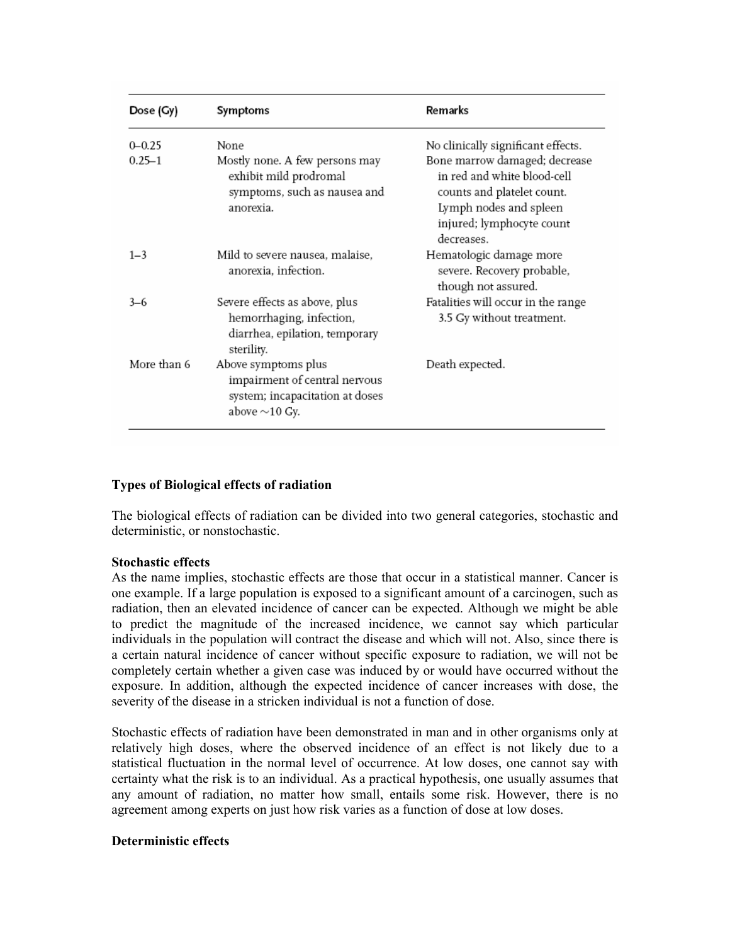| Dose (Gy)   | Symptoms                                                                                                       | Remarks                                                                                                                                                         |
|-------------|----------------------------------------------------------------------------------------------------------------|-----------------------------------------------------------------------------------------------------------------------------------------------------------------|
| $0 - 0.25$  | None                                                                                                           | No clinically significant effects.                                                                                                                              |
| $0.25 - 1$  | Mostly none. A few persons may<br>exhibit mild prodromal<br>symptoms, such as nausea and<br>anorexia.          | Bone marrow damaged; decrease<br>in red and white blood-cell<br>counts and platelet count.<br>Lymph nodes and spleen<br>injured; lymphocyte count<br>decreases. |
| $1 - 3$     | Mild to severe nausea, malaise,<br>anorexia, infection.                                                        | Hematologic damage more<br>severe. Recovery probable,<br>though not assured.                                                                                    |
| $3-6$       | Severe effects as above, plus<br>hemorrhaging, infection,<br>diarrhea, epilation, temporary<br>sterility.      | Fatalities will occur in the range<br>3.5 Gy without treatment.                                                                                                 |
| More than 6 | Above symptoms plus<br>impairment of central nervous<br>system; incapacitation at doses<br>above $\sim$ 10 Gy. | Death expected.                                                                                                                                                 |

# **Types of Biological effects of radiation**

The biological effects of radiation can be divided into two general categories, stochastic and deterministic, or nonstochastic.

## **Stochastic effects**

As the name implies, stochastic effects are those that occur in a statistical manner. Cancer is one example. If a large population is exposed to a significant amount of a carcinogen, such as radiation, then an elevated incidence of cancer can be expected. Although we might be able to predict the magnitude of the increased incidence, we cannot say which particular individuals in the population will contract the disease and which will not. Also, since there is a certain natural incidence of cancer without specific exposure to radiation, we will not be completely certain whether a given case was induced by or would have occurred without the exposure. In addition, although the expected incidence of cancer increases with dose, the severity of the disease in a stricken individual is not a function of dose.

Stochastic effects of radiation have been demonstrated in man and in other organisms only at relatively high doses, where the observed incidence of an effect is not likely due to a statistical fluctuation in the normal level of occurrence. At low doses, one cannot say with certainty what the risk is to an individual. As a practical hypothesis, one usually assumes that any amount of radiation, no matter how small, entails some risk. However, there is no agreement among experts on just how risk varies as a function of dose at low doses.

## **Deterministic effects**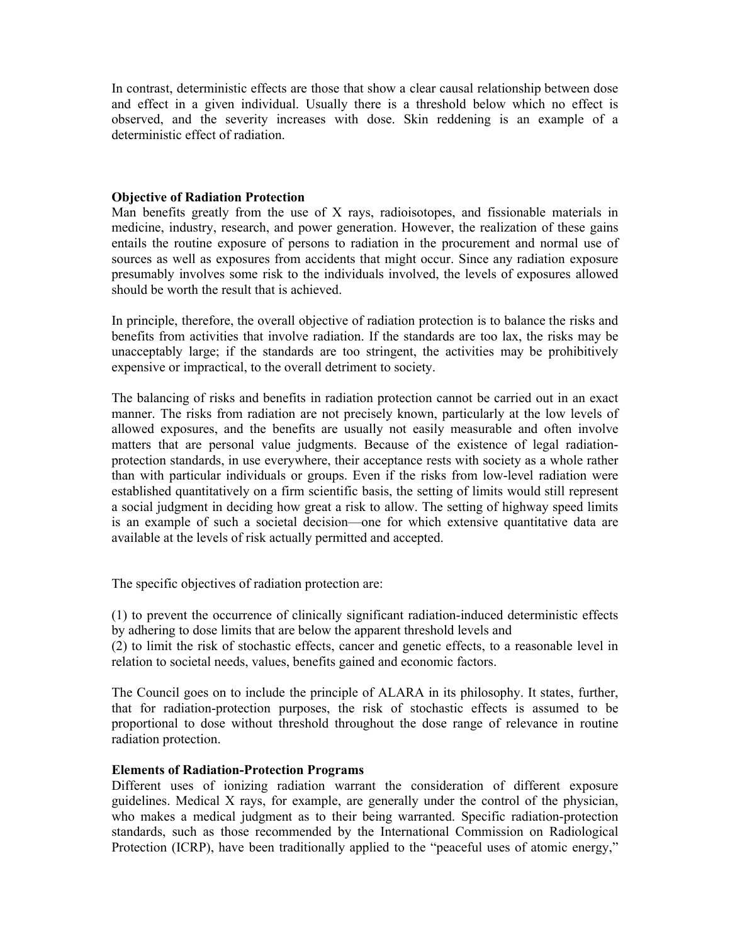In contrast, deterministic effects are those that show a clear causal relationship between dose and effect in a given individual. Usually there is a threshold below which no effect is observed, and the severity increases with dose. Skin reddening is an example of a deterministic effect of radiation.

#### **Objective of Radiation Protection**

Man benefits greatly from the use of X rays, radioisotopes, and fissionable materials in medicine, industry, research, and power generation. However, the realization of these gains entails the routine exposure of persons to radiation in the procurement and normal use of sources as well as exposures from accidents that might occur. Since any radiation exposure presumably involves some risk to the individuals involved, the levels of exposures allowed should be worth the result that is achieved.

In principle, therefore, the overall objective of radiation protection is to balance the risks and benefits from activities that involve radiation. If the standards are too lax, the risks may be unacceptably large; if the standards are too stringent, the activities may be prohibitively expensive or impractical, to the overall detriment to society.

The balancing of risks and benefits in radiation protection cannot be carried out in an exact manner. The risks from radiation are not precisely known, particularly at the low levels of allowed exposures, and the benefits are usually not easily measurable and often involve matters that are personal value judgments. Because of the existence of legal radiationprotection standards, in use everywhere, their acceptance rests with society as a whole rather than with particular individuals or groups. Even if the risks from low-level radiation were established quantitatively on a firm scientific basis, the setting of limits would still represent a social judgment in deciding how great a risk to allow. The setting of highway speed limits is an example of such a societal decision—one for which extensive quantitative data are available at the levels of risk actually permitted and accepted.

The specific objectives of radiation protection are:

(1) to prevent the occurrence of clinically significant radiation-induced deterministic effects by adhering to dose limits that are below the apparent threshold levels and

(2) to limit the risk of stochastic effects, cancer and genetic effects, to a reasonable level in relation to societal needs, values, benefits gained and economic factors.

The Council goes on to include the principle of ALARA in its philosophy. It states, further, that for radiation-protection purposes, the risk of stochastic effects is assumed to be proportional to dose without threshold throughout the dose range of relevance in routine radiation protection.

## **Elements of Radiation-Protection Programs**

Different uses of ionizing radiation warrant the consideration of different exposure guidelines. Medical X rays, for example, are generally under the control of the physician, who makes a medical judgment as to their being warranted. Specific radiation-protection standards, such as those recommended by the International Commission on Radiological Protection (ICRP), have been traditionally applied to the "peaceful uses of atomic energy,"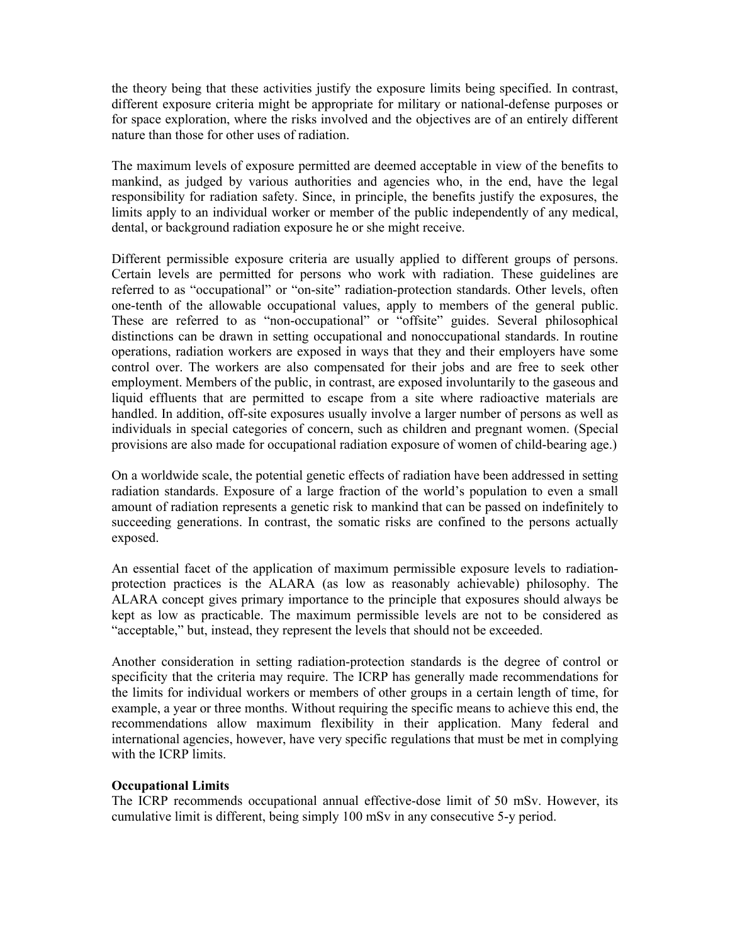the theory being that these activities justify the exposure limits being specified. In contrast, different exposure criteria might be appropriate for military or national-defense purposes or for space exploration, where the risks involved and the objectives are of an entirely different nature than those for other uses of radiation.

The maximum levels of exposure permitted are deemed acceptable in view of the benefits to mankind, as judged by various authorities and agencies who, in the end, have the legal responsibility for radiation safety. Since, in principle, the benefits justify the exposures, the limits apply to an individual worker or member of the public independently of any medical, dental, or background radiation exposure he or she might receive.

Different permissible exposure criteria are usually applied to different groups of persons. Certain levels are permitted for persons who work with radiation. These guidelines are referred to as "occupational" or "on-site" radiation-protection standards. Other levels, often one-tenth of the allowable occupational values, apply to members of the general public. These are referred to as "non-occupational" or "offsite" guides. Several philosophical distinctions can be drawn in setting occupational and nonoccupational standards. In routine operations, radiation workers are exposed in ways that they and their employers have some control over. The workers are also compensated for their jobs and are free to seek other employment. Members of the public, in contrast, are exposed involuntarily to the gaseous and liquid effluents that are permitted to escape from a site where radioactive materials are handled. In addition, off-site exposures usually involve a larger number of persons as well as individuals in special categories of concern, such as children and pregnant women. (Special provisions are also made for occupational radiation exposure of women of child-bearing age.)

On a worldwide scale, the potential genetic effects of radiation have been addressed in setting radiation standards. Exposure of a large fraction of the world's population to even a small amount of radiation represents a genetic risk to mankind that can be passed on indefinitely to succeeding generations. In contrast, the somatic risks are confined to the persons actually exposed.

An essential facet of the application of maximum permissible exposure levels to radiationprotection practices is the ALARA (as low as reasonably achievable) philosophy. The ALARA concept gives primary importance to the principle that exposures should always be kept as low as practicable. The maximum permissible levels are not to be considered as "acceptable," but, instead, they represent the levels that should not be exceeded.

Another consideration in setting radiation-protection standards is the degree of control or specificity that the criteria may require. The ICRP has generally made recommendations for the limits for individual workers or members of other groups in a certain length of time, for example, a year or three months. Without requiring the specific means to achieve this end, the recommendations allow maximum flexibility in their application. Many federal and international agencies, however, have very specific regulations that must be met in complying with the ICRP limits.

## **Occupational Limits**

The ICRP recommends occupational annual effective-dose limit of 50 mSv. However, its cumulative limit is different, being simply 100 mSv in any consecutive 5-y period.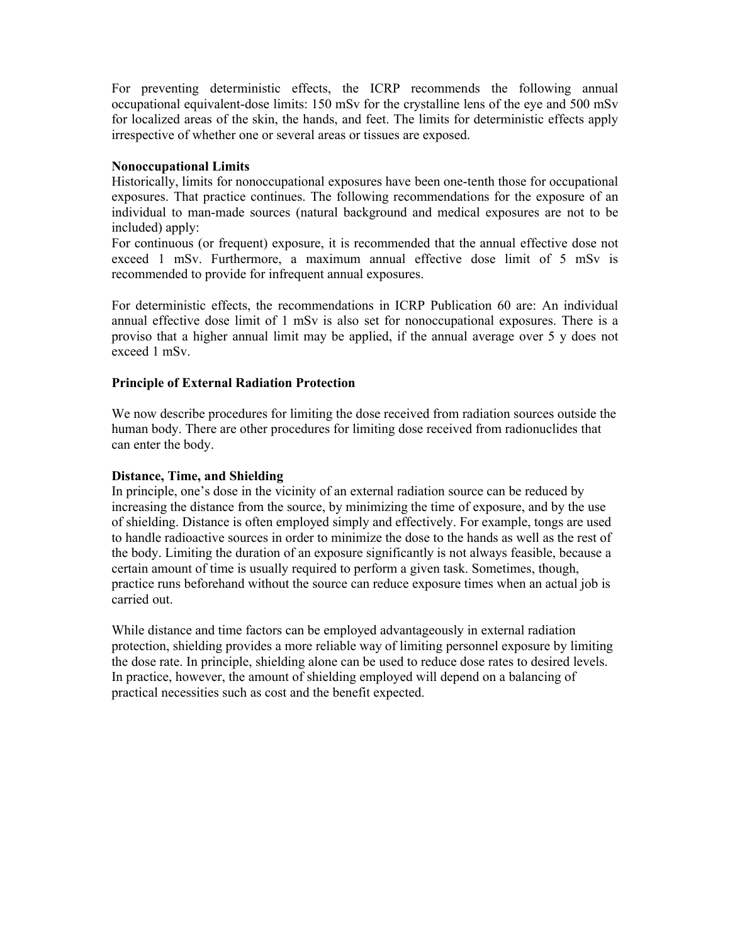For preventing deterministic effects, the ICRP recommends the following annual occupational equivalent-dose limits: 150 mSv for the crystalline lens of the eye and 500 mSv for localized areas of the skin, the hands, and feet. The limits for deterministic effects apply irrespective of whether one or several areas or tissues are exposed.

# **Nonoccupational Limits**

Historically, limits for nonoccupational exposures have been one-tenth those for occupational exposures. That practice continues. The following recommendations for the exposure of an individual to man-made sources (natural background and medical exposures are not to be included) apply:

For continuous (or frequent) exposure, it is recommended that the annual effective dose not exceed 1 mSv. Furthermore, a maximum annual effective dose limit of 5 mSv is recommended to provide for infrequent annual exposures.

For deterministic effects, the recommendations in ICRP Publication 60 are: An individual annual effective dose limit of 1 mSv is also set for nonoccupational exposures. There is a proviso that a higher annual limit may be applied, if the annual average over 5 y does not exceed 1 mSv.

# **Principle of External Radiation Protection**

We now describe procedures for limiting the dose received from radiation sources outside the human body. There are other procedures for limiting dose received from radionuclides that can enter the body.

## **Distance, Time, and Shielding**

In principle, one's dose in the vicinity of an external radiation source can be reduced by increasing the distance from the source, by minimizing the time of exposure, and by the use of shielding. Distance is often employed simply and effectively. For example, tongs are used to handle radioactive sources in order to minimize the dose to the hands as well as the rest of the body. Limiting the duration of an exposure significantly is not always feasible, because a certain amount of time is usually required to perform a given task. Sometimes, though, practice runs beforehand without the source can reduce exposure times when an actual job is carried out.

While distance and time factors can be employed advantageously in external radiation protection, shielding provides a more reliable way of limiting personnel exposure by limiting the dose rate. In principle, shielding alone can be used to reduce dose rates to desired levels. In practice, however, the amount of shielding employed will depend on a balancing of practical necessities such as cost and the benefit expected.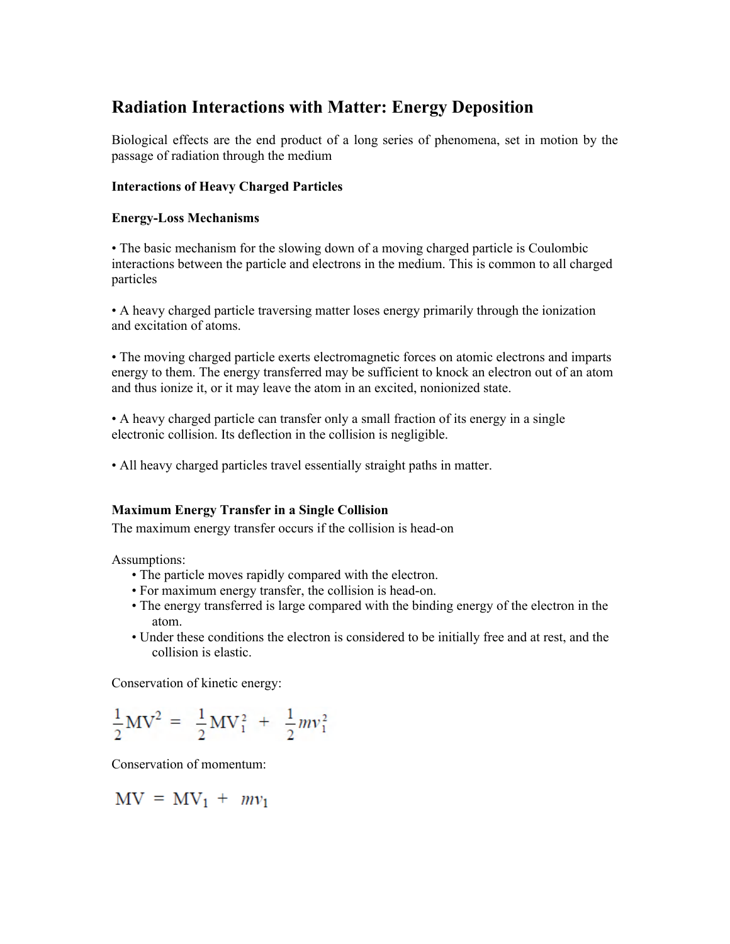# **Radiation Interactions with Matter: Energy Deposition**

Biological effects are the end product of a long series of phenomena, set in motion by the passage of radiation through the medium

# **Interactions of Heavy Charged Particles**

# **Energy-Loss Mechanisms**

• The basic mechanism for the slowing down of a moving charged particle is Coulombic interactions between the particle and electrons in the medium. This is common to all charged particles

• A heavy charged particle traversing matter loses energy primarily through the ionization and excitation of atoms.

• The moving charged particle exerts electromagnetic forces on atomic electrons and imparts energy to them. The energy transferred may be sufficient to knock an electron out of an atom and thus ionize it, or it may leave the atom in an excited, nonionized state.

• A heavy charged particle can transfer only a small fraction of its energy in a single electronic collision. Its deflection in the collision is negligible.

• All heavy charged particles travel essentially straight paths in matter.

# **Maximum Energy Transfer in a Single Collision**

The maximum energy transfer occurs if the collision is head-on

Assumptions:

- The particle moves rapidly compared with the electron.
- For maximum energy transfer, the collision is head-on.
- The energy transferred is large compared with the binding energy of the electron in the atom.
- Under these conditions the electron is considered to be initially free and at rest, and the collision is elastic.

Conservation of kinetic energy:

$$
\frac{1}{2}MV^2 = \frac{1}{2}MV_1^2 + \frac{1}{2}mv_1^2
$$

Conservation of momentum:

$$
MV = MV_1 + mv_1
$$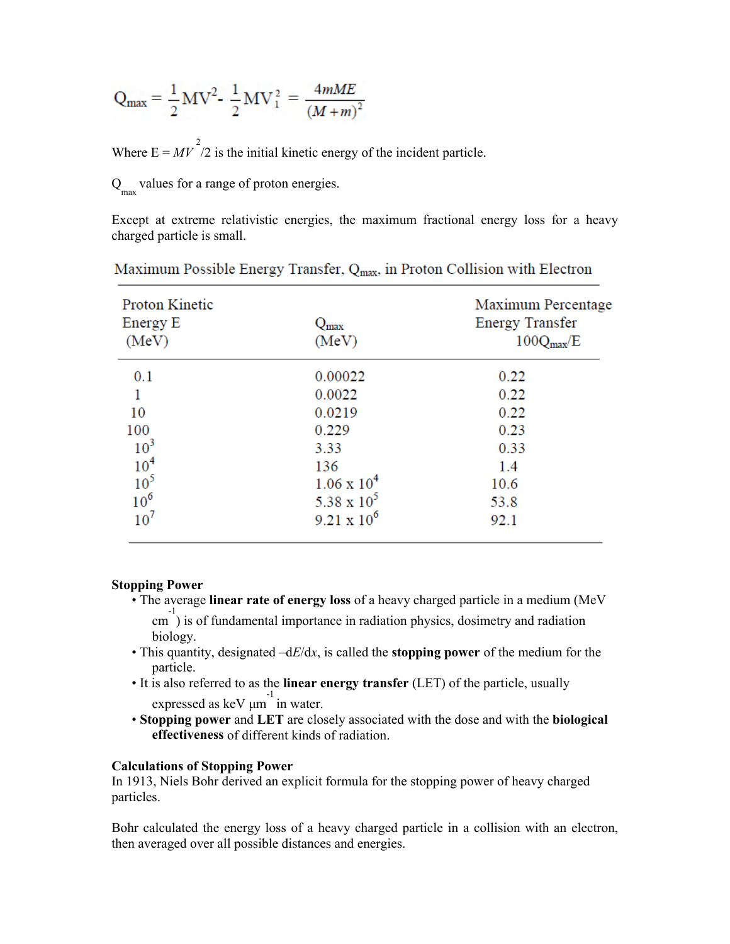$$
Q_{\text{max}} = \frac{1}{2}MV^2 - \frac{1}{2}MV_1^2 = \frac{4mME}{(M+m)^2}
$$

Where  $E = M V^2/2$  is the initial kinetic energy of the incident particle.

 $Q_{\text{max}}$  values for a range of proton energies.

Except at extreme relativistic energies, the maximum fractional energy loss for a heavy charged particle is small.

| <b>Proton Kinetic</b><br>Energy E<br>(MeV) | $Q_{\rm max}$<br>(MeV) | Maximum Percentage<br><b>Energy Transfer</b><br>$100Q_{\text{max}}/E$ |
|--------------------------------------------|------------------------|-----------------------------------------------------------------------|
| 0.1                                        | 0.00022                | 0.22                                                                  |
|                                            | 0.0022                 | 0.22                                                                  |
| 10                                         | 0.0219                 | 0.22                                                                  |
| 100                                        | 0.229                  | 0.23                                                                  |
| 10 <sup>3</sup>                            | 3.33                   | 0.33                                                                  |
| 10 <sup>4</sup>                            | 136                    | 1.4                                                                   |
| 10 <sup>5</sup>                            | $1.06 \times 10^4$     | 10.6                                                                  |
| 10 <sup>6</sup>                            | 5.38 x $10^5$          | 53.8                                                                  |
| 10 <sup>7</sup>                            | $9.21 \times 10^6$     | 92.1                                                                  |

Maximum Possible Energy Transfer, Q<sub>max</sub>, in Proton Collision with Electron

## **Stopping Power**

- The average **linear rate of energy loss** of a heavy charged particle in a medium (MeV <sup>-1</sup>/<sub>2</sub> is of fundamental importance in radiation physics, dosimetry and radiation biology.
- This quantity, designated –d*E*/d*x*, is called the **stopping power** of the medium for the particle.
- It is also referred to as the **linear energy transfer** (LET) of the particle, usually  $\frac{-1}{2}$  expressed as keV  $\mu$ m in water.
- **Stopping power** and **LET** are closely associated with the dose and with the **biological effectiveness** of different kinds of radiation.

## **Calculations of Stopping Power**

In 1913, Niels Bohr derived an explicit formula for the stopping power of heavy charged particles.

Bohr calculated the energy loss of a heavy charged particle in a collision with an electron, then averaged over all possible distances and energies.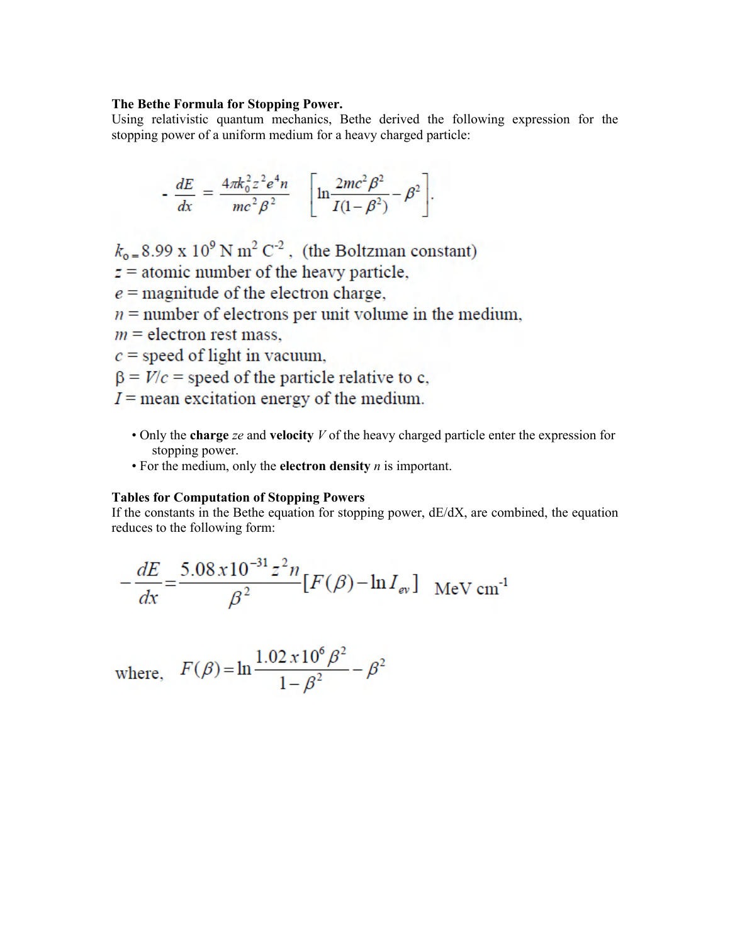#### **The Bethe Formula for Stopping Power.**

Using relativistic quantum mechanics, Bethe derived the following expression for the stopping power of a uniform medium for a heavy charged particle:

$$
-\frac{dE}{dx} = \frac{4\pi k_0^2 z^2 e^4 n}{mc^2 \beta^2} \quad \left[ \ln \frac{2mc^2 \beta^2}{I(1-\beta^2)} - \beta^2 \right].
$$

 $k_{\text{o}} = 8.99 \times 10^9 \text{ N m}^2 \text{ C}^{-2}$ , (the Boltzman constant)

 $z =$  atomic number of the heavy particle,

 $e$  = magnitude of the electron charge,

- $n =$  number of electrons per unit volume in the medium,
- $m =$  electron rest mass,
- $c$  = speed of light in vacuum,
- $\beta = V/c$  = speed of the particle relative to c,
- $I =$  mean excitation energy of the medium.
	- Only the **charge** *ze* and **velocity** *V* of the heavy charged particle enter the expression for stopping power.
	- For the medium, only the **electron density** *n* is important.

#### **Tables for Computation of Stopping Powers**

If the constants in the Bethe equation for stopping power, dE/dX, are combined, the equation reduces to the following form:

$$
-\frac{dE}{dx} = \frac{5.08 \times 10^{-31} z^2 n}{\beta^2} [F(\beta) - \ln I_{ev}] \text{ MeV cm}^{-1}
$$

where, 
$$
F(\beta) = \ln \frac{1.02 \times 10^6 \beta^2}{1 - \beta^2} - \beta^2
$$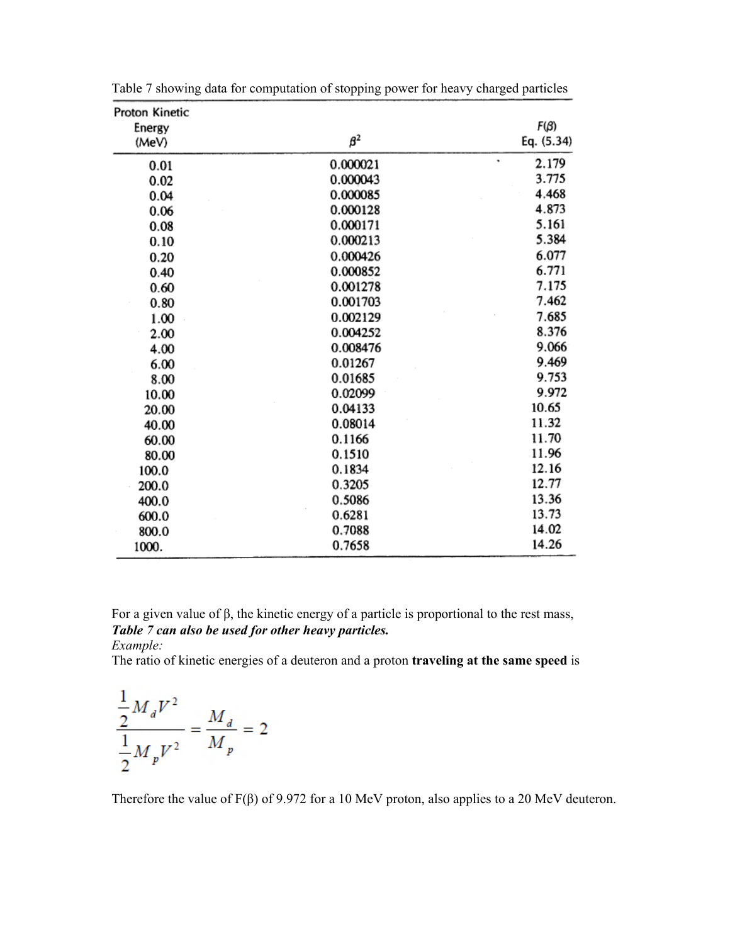| Proton Kinetic |           |            |
|----------------|-----------|------------|
| Energy         |           | $F(\beta)$ |
| (MeV)          | $\beta^2$ | Eq. (5.34) |
| 0.01           | 0.000021  | ٠<br>2.179 |
| 0.02           | 0.000043  | 3.775      |
| 0.04           | 0.000085  | 4.468      |
| 0.06           | 0.000128  | 4.873      |
| 0.08           | 0.000171  | 5.161      |
| 0.10           | 0.000213  | 5.384      |
| 0.20           | 0.000426  | 6.077      |
| 0.40           | 0.000852  | 6.771      |
| 0.60           | 0.001278  | 7.175      |
| 0.80           | 0.001703  | 7.462      |
| 1.00           | 0.002129  | 7.685      |
| 2.00           | 0.004252  | 8.376      |
| 4.00           | 0.008476  | 9.066      |
| 6.00           | 0.01267   | 9.469      |
| 8.00           | 0.01685   | 9.753      |
| 10.00          | 0.02099   | 9.972      |
| 20.00          | 0.04133   | 10.65      |
| 40.00          | 0.08014   | 11.32      |
| 60.00          | 0.1166    | 11.70      |
| 80.00          | 0.1510    | 11.96      |
| 100.0          | 0.1834    | 12.16      |
| 200.0          | 0.3205    | 12.77      |
| 400.0          | 0.5086    | 13.36      |
| 600.0          | 0.6281    | 13.73      |
| 800.0          | 0.7088    | 14.02      |
| 1000.          | 0.7658    | 14.26      |

Table 7 showing data for computation of stopping power for heavy charged particles

For a given value of β, the kinetic energy of a particle is proportional to the rest mass, *Table 7 can also be used for other heavy particles. Example:* 

The ratio of kinetic energies of a deuteron and a proton **traveling at the same speed** is

$$
\frac{\frac{1}{2}M_dV^2}{\frac{1}{2}M_pV^2} = \frac{M_d}{M_p} = 2
$$

Therefore the value of F(β) of 9.972 for a 10 MeV proton, also applies to a 20 MeV deuteron.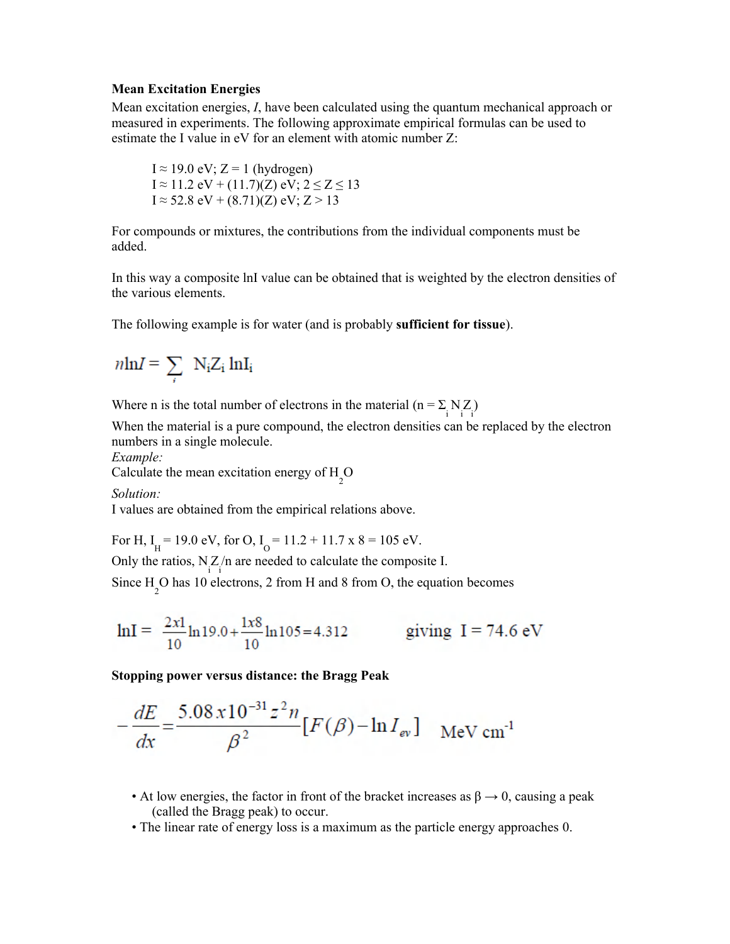#### **Mean Excitation Energies**

Mean excitation energies, *I*, have been calculated using the quantum mechanical approach or measured in experiments. The following approximate empirical formulas can be used to estimate the I value in eV for an element with atomic number Z:

I  $\approx$  19.0 eV; Z = 1 (hydrogen) I ≈ 11.2 eV + (11.7)(Z) eV;  $2 \le Z \le 13$ I ≈ 52.8 eV + (8.71)(Z) eV; Z > 13

For compounds or mixtures, the contributions from the individual components must be added.

In this way a composite lnI value can be obtained that is weighted by the electron densities of the various elements.

The following example is for water (and is probably **sufficient for tissue**).

$$
\text{nln}I = \sum_i \; N_i Z_i \; ln I_i
$$

Where n is the total number of electrons in the material  $(n = \sum_{i} N_i Z_i)$ 

When the material is a pure compound, the electron densities can be replaced by the electron numbers in a single molecule.

*Example:* 

Calculate the mean excitation energy of  $H_2O$ 

*Solution:* 

I values are obtained from the empirical relations above.

For H,  $I_H = 19.0$  eV, for O,  $I_O = 11.2 + 11.7$  x 8 = 105 eV.

Only the ratios,  $N_Z/n$  are needed to calculate the composite I.

Since H<sub>2</sub>O has 10 electrons, 2 from H and 8 from O, the equation becomes

$$
lnI = \frac{2x1}{10}ln 19.0 + \frac{1x8}{10}ln 105 = 4.312
$$
 giving I = 74.6 eV

**Stopping power versus distance: the Bragg Peak**

$$
-\frac{dE}{dx} = \frac{5.08 \times 10^{-31} z^2 n}{\beta^2} [F(\beta) - \ln I_{ev}] \text{ MeV cm}^{-1}
$$

- At low energies, the factor in front of the bracket increases as  $\beta \rightarrow 0$ , causing a peak (called the Bragg peak) to occur.
- The linear rate of energy loss is a maximum as the particle energy approaches 0.